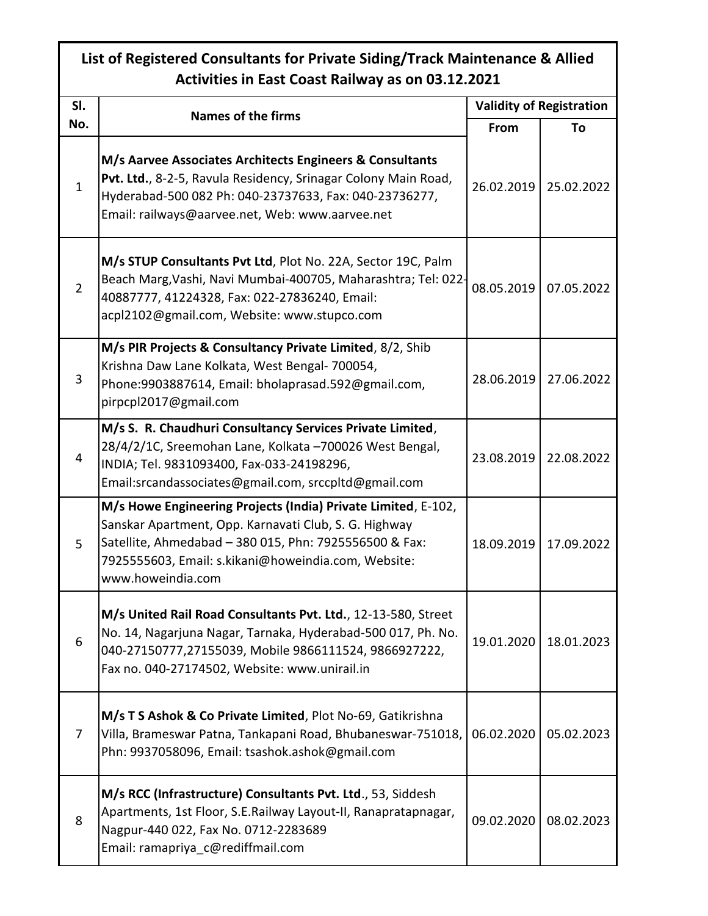## **List of Registered Consultants for Private Siding/Track Maintenance & Allied Activities in East Coast Railway as on 03.12.2021**

| SI.<br>No.   | <b>Names of the firms</b>                                                                                                                                                                                                                                    | <b>Validity of Registration</b> |            |
|--------------|--------------------------------------------------------------------------------------------------------------------------------------------------------------------------------------------------------------------------------------------------------------|---------------------------------|------------|
|              |                                                                                                                                                                                                                                                              | From                            | Τo         |
| $\mathbf{1}$ | M/s Aarvee Associates Architects Engineers & Consultants<br>Pvt. Ltd., 8-2-5, Ravula Residency, Srinagar Colony Main Road,<br>Hyderabad-500 082 Ph: 040-23737633, Fax: 040-23736277,<br>Email: railways@aarvee.net, Web: www.aarvee.net                      | 26.02.2019                      | 25.02.2022 |
| 2            | M/s STUP Consultants Pvt Ltd, Plot No. 22A, Sector 19C, Palm<br>Beach Marg, Vashi, Navi Mumbai-400705, Maharashtra; Tel: 022-<br>40887777, 41224328, Fax: 022-27836240, Email:<br>acpl2102@gmail.com, Website: www.stupco.com                                | 08.05.2019                      | 07.05.2022 |
| 3            | M/s PIR Projects & Consultancy Private Limited, 8/2, Shib<br>Krishna Daw Lane Kolkata, West Bengal- 700054,<br>Phone:9903887614, Email: bholaprasad.592@gmail.com,<br>pirpcpl2017@gmail.com                                                                  | 28.06.2019                      | 27.06.2022 |
| 4            | M/s S. R. Chaudhuri Consultancy Services Private Limited,<br>28/4/2/1C, Sreemohan Lane, Kolkata -700026 West Bengal,<br>INDIA; Tel. 9831093400, Fax-033-24198296,<br>Email:srcandassociates@gmail.com, srccpltd@gmail.com                                    | 23.08.2019                      | 22.08.2022 |
| 5            | M/s Howe Engineering Projects (India) Private Limited, E-102,<br>Sanskar Apartment, Opp. Karnavati Club, S. G. Highway<br>Satellite, Ahmedabad - 380 015, Phn: 7925556500 & Fax:<br>7925555603, Email: s.kikani@howeindia.com, Website:<br>www.howeindia.com | 18.09.2019                      | 17.09.2022 |
| 6            | M/s United Rail Road Consultants Pvt. Ltd., 12-13-580, Street<br>No. 14, Nagarjuna Nagar, Tarnaka, Hyderabad-500 017, Ph. No.<br>040-27150777,27155039, Mobile 9866111524, 9866927222,<br>Fax no. 040-27174502, Website: www.unirail.in                      | 19.01.2020                      | 18.01.2023 |
| 7            | M/s T S Ashok & Co Private Limited, Plot No-69, Gatikrishna<br>Villa, Brameswar Patna, Tankapani Road, Bhubaneswar-751018,<br>Phn: 9937058096, Email: tsashok.ashok@gmail.com                                                                                | 06.02.2020                      | 05.02.2023 |
| 8            | M/s RCC (Infrastructure) Consultants Pvt. Ltd., 53, Siddesh<br>Apartments, 1st Floor, S.E.Railway Layout-II, Ranapratapnagar,<br>Nagpur-440 022, Fax No. 0712-2283689<br>Email: ramapriya c@rediffmail.com                                                   | 09.02.2020                      | 08.02.2023 |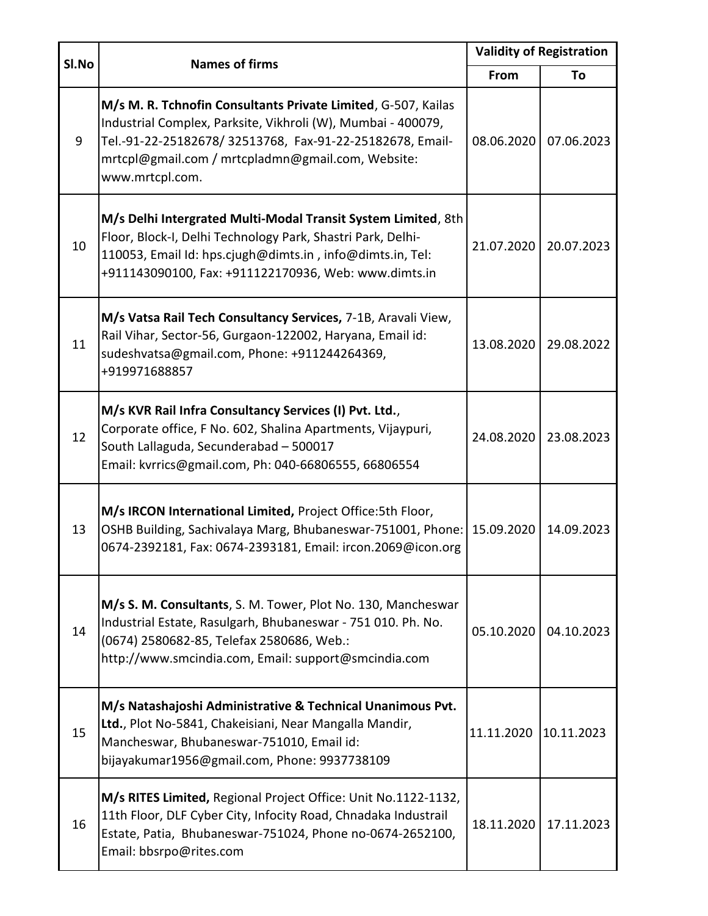| SI.No | <b>Names of firms</b>                                                                                                                                                                                                                                              | <b>Validity of Registration</b> |            |
|-------|--------------------------------------------------------------------------------------------------------------------------------------------------------------------------------------------------------------------------------------------------------------------|---------------------------------|------------|
|       |                                                                                                                                                                                                                                                                    | From                            | To         |
| 9     | M/s M. R. Tchnofin Consultants Private Limited, G-507, Kailas<br>Industrial Complex, Parksite, Vikhroli (W), Mumbai - 400079,<br>Tel.-91-22-25182678/ 32513768, Fax-91-22-25182678, Email-<br>mrtcpl@gmail.com / mrtcpladmn@gmail.com, Website:<br>www.mrtcpl.com. | 08.06.2020                      | 07.06.2023 |
| 10    | M/s Delhi Intergrated Multi-Modal Transit System Limited, 8th<br>Floor, Block-I, Delhi Technology Park, Shastri Park, Delhi-<br>110053, Email Id: hps.cjugh@dimts.in, info@dimts.in, Tel:<br>+911143090100, Fax: +911122170936, Web: www.dimts.in                  | 21.07.2020                      | 20.07.2023 |
| 11    | M/s Vatsa Rail Tech Consultancy Services, 7-1B, Aravali View,<br>Rail Vihar, Sector-56, Gurgaon-122002, Haryana, Email id:<br>sudeshvatsa@gmail.com, Phone: +911244264369,<br>+919971688857                                                                        | 13.08.2020                      | 29.08.2022 |
| 12    | M/s KVR Rail Infra Consultancy Services (I) Pvt. Ltd.,<br>Corporate office, F No. 602, Shalina Apartments, Vijaypuri,<br>South Lallaguda, Secunderabad - 500017<br>Email: kvrrics@gmail.com, Ph: 040-66806555, 66806554                                            | 24.08.2020                      | 23.08.2023 |
| 13    | M/s IRCON International Limited, Project Office:5th Floor,<br>OSHB Building, Sachivalaya Marg, Bhubaneswar-751001, Phone:<br>0674-2392181, Fax: 0674-2393181, Email: ircon.2069@icon.org                                                                           | 15.09.2020                      | 14.09.2023 |
| 14    | M/s S. M. Consultants, S. M. Tower, Plot No. 130, Mancheswar<br>Industrial Estate, Rasulgarh, Bhubaneswar - 751 010. Ph. No.<br>(0674) 2580682-85, Telefax 2580686, Web.:<br>http://www.smcindia.com, Email: support@smcindia.com                                  | 05.10.2020                      | 04.10.2023 |
| 15    | M/s Natashajoshi Administrative & Technical Unanimous Pvt.<br>Ltd., Plot No-5841, Chakeisiani, Near Mangalla Mandir,<br>Mancheswar, Bhubaneswar-751010, Email id:<br>bijayakumar1956@gmail.com, Phone: 9937738109                                                  | 11.11.2020                      | 10.11.2023 |
| 16    | M/s RITES Limited, Regional Project Office: Unit No.1122-1132,<br>11th Floor, DLF Cyber City, Infocity Road, Chnadaka Industrail<br>Estate, Patia, Bhubaneswar-751024, Phone no-0674-2652100,<br>Email: bbsrpo@rites.com                                           | 18.11.2020                      | 17.11.2023 |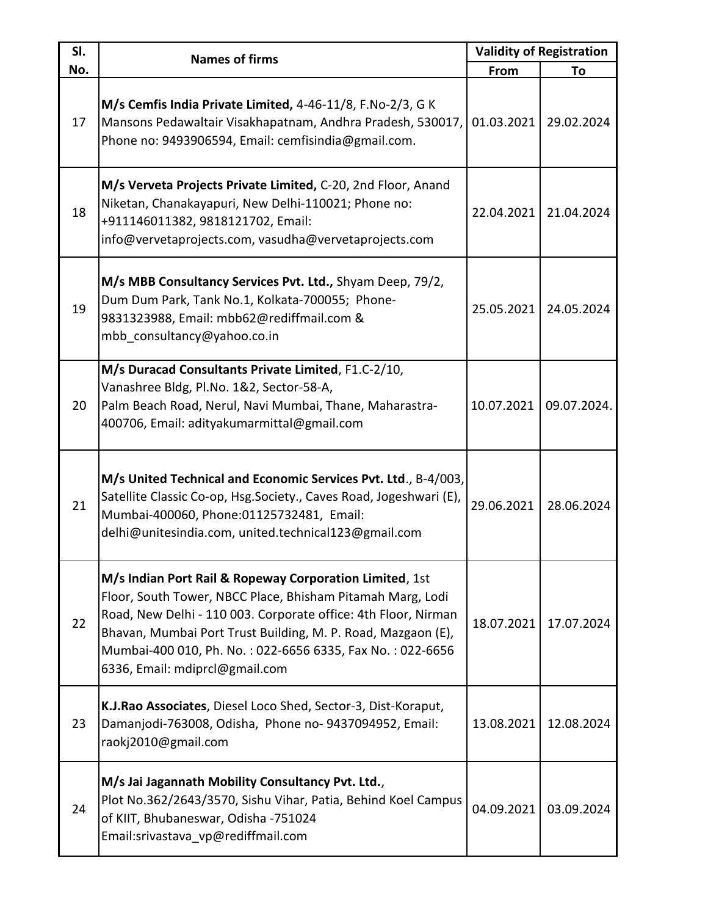| SI.<br>No. | <b>Names of firms</b>                                                                                                                                                                                                                                                                                                                                  | <b>Validity of Registration</b> |             |
|------------|--------------------------------------------------------------------------------------------------------------------------------------------------------------------------------------------------------------------------------------------------------------------------------------------------------------------------------------------------------|---------------------------------|-------------|
|            |                                                                                                                                                                                                                                                                                                                                                        | From                            | To          |
| 17         | M/s Cemfis India Private Limited, 4-46-11/8, F.No-2/3, G K<br>Mansons Pedawaltair Visakhapatnam, Andhra Pradesh, 530017,<br>Phone no: 9493906594, Email: cemfisindia@gmail.com.                                                                                                                                                                        | 01.03.2021                      | 29.02.2024  |
| 18         | M/s Verveta Projects Private Limited, C-20, 2nd Floor, Anand<br>Niketan, Chanakayapuri, New Delhi-110021; Phone no:<br>+911146011382, 9818121702, Email:<br>info@vervetaprojects.com, vasudha@vervetaprojects.com                                                                                                                                      | 22.04.2021                      | 21.04.2024  |
| 19         | M/s MBB Consultancy Services Pvt. Ltd., Shyam Deep, 79/2,<br>Dum Dum Park, Tank No.1, Kolkata-700055; Phone-<br>9831323988, Email: mbb62@rediffmail.com &<br>mbb consultancy@yahoo.co.in                                                                                                                                                               | 25.05.2021                      | 24.05.2024  |
| 20         | M/s Duracad Consultants Private Limited, F1.C-2/10,<br>Vanashree Bldg, Pl.No. 1&2, Sector-58-A,<br>Palm Beach Road, Nerul, Navi Mumbai, Thane, Maharastra-<br>400706, Email: adityakumarmittal@gmail.com                                                                                                                                               | 10.07.2021                      | 09.07.2024. |
| 21         | M/s United Technical and Economic Services Pvt. Ltd., B-4/003,<br>Satellite Classic Co-op, Hsg.Society., Caves Road, Jogeshwari (E),<br>Mumbai-400060, Phone:01125732481, Email:<br>delhi@unitesindia.com, united.technical123@gmail.com                                                                                                               | 29.06.2021                      | 28.06.2024  |
| 22         | M/s Indian Port Rail & Ropeway Corporation Limited, 1st<br>Floor, South Tower, NBCC Place, Bhisham Pitamah Marg, Lodi<br>Road, New Delhi - 110 003. Corporate office: 4th Floor, Nirman<br>Bhavan, Mumbai Port Trust Building, M. P. Road, Mazgaon (E),<br>Mumbai-400 010, Ph. No.: 022-6656 6335, Fax No.: 022-6656<br>6336, Email: mdiprcl@gmail.com | 18.07.2021                      | 17.07.2024  |
| 23         | K.J.Rao Associates, Diesel Loco Shed, Sector-3, Dist-Koraput,<br>Damanjodi-763008, Odisha, Phone no-9437094952, Email:<br>raokj2010@gmail.com                                                                                                                                                                                                          | 13.08.2021                      | 12.08.2024  |
| 24         | M/s Jai Jagannath Mobility Consultancy Pvt. Ltd.,<br>Plot No.362/2643/3570, Sishu Vihar, Patia, Behind Koel Campus<br>of KIIT, Bhubaneswar, Odisha -751024<br>Email:srivastava vp@rediffmail.com                                                                                                                                                       | 04.09.2021                      | 03.09.2024  |